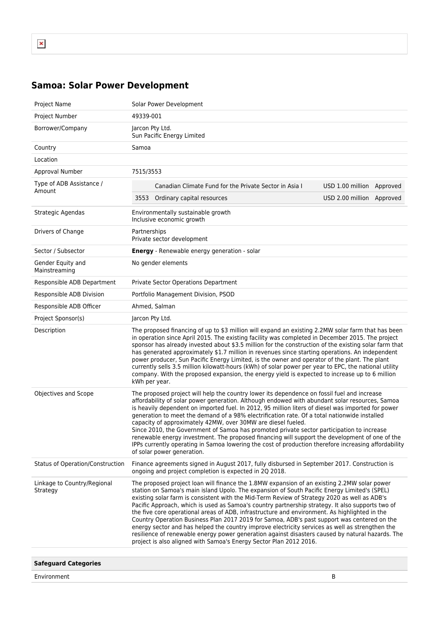## **Samoa: Solar Power Development**

| Project Name                            | Solar Power Development                                                                                                                                                                                                                                                                                                                                                                                                                                                                                                                                                                                                                                                                                                                                                                                                                                                      |                           |  |
|-----------------------------------------|------------------------------------------------------------------------------------------------------------------------------------------------------------------------------------------------------------------------------------------------------------------------------------------------------------------------------------------------------------------------------------------------------------------------------------------------------------------------------------------------------------------------------------------------------------------------------------------------------------------------------------------------------------------------------------------------------------------------------------------------------------------------------------------------------------------------------------------------------------------------------|---------------------------|--|
| Project Number                          | 49339-001                                                                                                                                                                                                                                                                                                                                                                                                                                                                                                                                                                                                                                                                                                                                                                                                                                                                    |                           |  |
| Borrower/Company                        | Jarcon Pty Ltd.<br>Sun Pacific Energy Limited                                                                                                                                                                                                                                                                                                                                                                                                                                                                                                                                                                                                                                                                                                                                                                                                                                |                           |  |
| Country                                 | Samoa                                                                                                                                                                                                                                                                                                                                                                                                                                                                                                                                                                                                                                                                                                                                                                                                                                                                        |                           |  |
| Location                                |                                                                                                                                                                                                                                                                                                                                                                                                                                                                                                                                                                                                                                                                                                                                                                                                                                                                              |                           |  |
| Approval Number                         | 7515/3553                                                                                                                                                                                                                                                                                                                                                                                                                                                                                                                                                                                                                                                                                                                                                                                                                                                                    |                           |  |
| Type of ADB Assistance /<br>Amount      | Canadian Climate Fund for the Private Sector in Asia I                                                                                                                                                                                                                                                                                                                                                                                                                                                                                                                                                                                                                                                                                                                                                                                                                       | USD 1.00 million Approved |  |
|                                         | Ordinary capital resources<br>3553                                                                                                                                                                                                                                                                                                                                                                                                                                                                                                                                                                                                                                                                                                                                                                                                                                           | USD 2.00 million Approved |  |
| Strategic Agendas                       | Environmentally sustainable growth<br>Inclusive economic growth                                                                                                                                                                                                                                                                                                                                                                                                                                                                                                                                                                                                                                                                                                                                                                                                              |                           |  |
| Drivers of Change                       | Partnerships<br>Private sector development                                                                                                                                                                                                                                                                                                                                                                                                                                                                                                                                                                                                                                                                                                                                                                                                                                   |                           |  |
| Sector / Subsector                      | <b>Energy</b> - Renewable energy generation - solar                                                                                                                                                                                                                                                                                                                                                                                                                                                                                                                                                                                                                                                                                                                                                                                                                          |                           |  |
| Gender Equity and<br>Mainstreaming      | No gender elements                                                                                                                                                                                                                                                                                                                                                                                                                                                                                                                                                                                                                                                                                                                                                                                                                                                           |                           |  |
| Responsible ADB Department              | <b>Private Sector Operations Department</b>                                                                                                                                                                                                                                                                                                                                                                                                                                                                                                                                                                                                                                                                                                                                                                                                                                  |                           |  |
| Responsible ADB Division                | Portfolio Management Division, PSOD                                                                                                                                                                                                                                                                                                                                                                                                                                                                                                                                                                                                                                                                                                                                                                                                                                          |                           |  |
| Responsible ADB Officer                 | Ahmed, Salman                                                                                                                                                                                                                                                                                                                                                                                                                                                                                                                                                                                                                                                                                                                                                                                                                                                                |                           |  |
| Project Sponsor(s)                      | Jarcon Pty Ltd.                                                                                                                                                                                                                                                                                                                                                                                                                                                                                                                                                                                                                                                                                                                                                                                                                                                              |                           |  |
| Description                             | The proposed financing of up to \$3 million will expand an existing 2.2MW solar farm that has been<br>in operation since April 2015. The existing facility was completed in December 2015. The project<br>sponsor has already invested about \$3.5 million for the construction of the existing solar farm that<br>has generated approximately \$1.7 million in revenues since starting operations. An independent<br>power producer, Sun Pacific Energy Limited, is the owner and operator of the plant. The plant<br>currently sells 3.5 million kilowatt-hours (kWh) of solar power per year to EPC, the national utility<br>company. With the proposed expansion, the energy yield is expected to increase up to 6 million<br>kWh per year.                                                                                                                              |                           |  |
| Objectives and Scope                    | The proposed project will help the country lower its dependence on fossil fuel and increase<br>affordability of solar power generation. Although endowed with abundant solar resources, Samoa<br>is heavily dependent on imported fuel. In 2012, 95 million liters of diesel was imported for power<br>generation to meet the demand of a 98% electrification rate. Of a total nationwide installed<br>capacity of approximately 42MW, over 30MW are diesel fueled.<br>Since 2010, the Government of Samoa has promoted private sector participation to increase<br>renewable energy investment. The proposed financing will support the development of one of the<br>IPPs currently operating in Samoa lowering the cost of production therefore increasing affordability<br>of solar power generation.                                                                     |                           |  |
| Status of Operation/Construction        | Finance agreements signed in August 2017, fully disbursed in September 2017. Construction is<br>ongoing and project completion is expected in 2Q 2018.                                                                                                                                                                                                                                                                                                                                                                                                                                                                                                                                                                                                                                                                                                                       |                           |  |
| Linkage to Country/Regional<br>Strategy | The proposed project loan will finance the 1.8MW expansion of an existing 2.2MW solar power<br>station on Samoa's main island Upolo. The expansion of South Pacific Energy Limited's (SPEL)<br>existing solar farm is consistent with the Mid-Term Review of Strategy 2020 as well as ADB's<br>Pacific Approach, which is used as Samoa's country partnership strategy. It also supports two of<br>the five core operational areas of ADB, infrastructure and environment. As highlighted in the<br>Country Operation Business Plan 2017 2019 for Samoa, ADB's past support was centered on the<br>energy sector and has helped the country improve electricity services as well as strengthen the<br>resilience of renewable energy power generation against disasters caused by natural hazards. The<br>project is also aligned with Samoa's Energy Sector Plan 2012 2016. |                           |  |
|                                         |                                                                                                                                                                                                                                                                                                                                                                                                                                                                                                                                                                                                                                                                                                                                                                                                                                                                              |                           |  |
| <b>Safeguard Categories</b>             |                                                                                                                                                                                                                                                                                                                                                                                                                                                                                                                                                                                                                                                                                                                                                                                                                                                                              |                           |  |